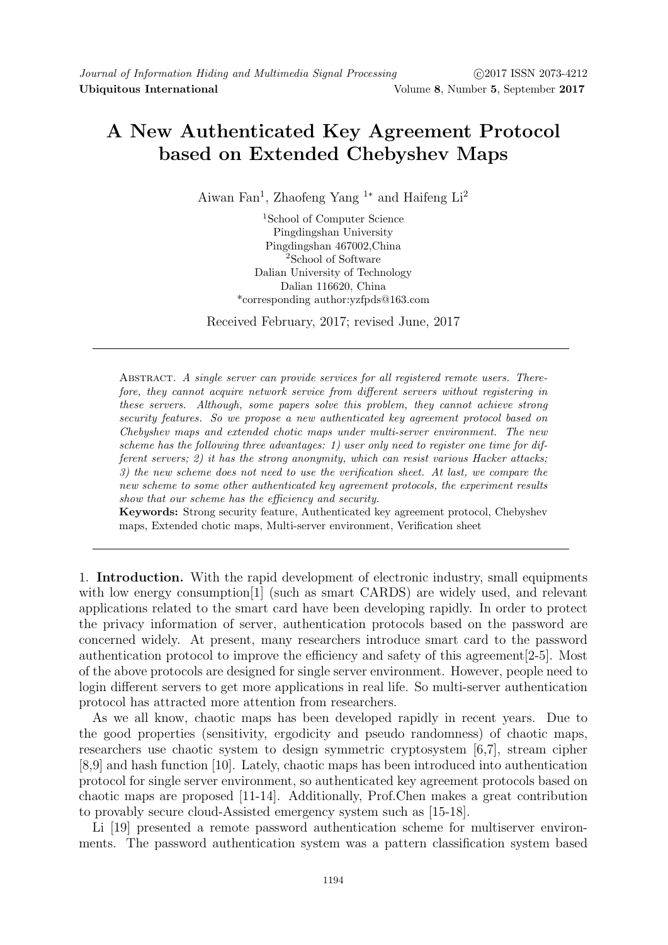## A New Authenticated Key Agreement Protocol based on Extended Chebyshev Maps

Aiwan Fan<sup>1</sup>, Zhaofeng Yang<sup>1∗</sup> and Haifeng Li<sup>2</sup>

<sup>1</sup>School of Computer Science Pingdingshan University Pingdingshan 467002,China <sup>2</sup>School of Software Dalian University of Technology Dalian 116620, China \*corresponding author:yzfpds@163.com

Received February, 2017; revised June, 2017

ABSTRACT. A single server can provide services for all registered remote users. Therefore, they cannot acquire network service from different servers without registering in these servers. Although, some papers solve this problem, they cannot achieve strong security features. So we propose a new authenticated key agreement protocol based on Chebyshev maps and extended chotic maps under multi-server environment. The new scheme has the following three advantages: 1) user only need to register one time for different servers; 2) it has the strong anonymity, which can resist various Hacker attacks; 3) the new scheme does not need to use the verification sheet. At last, we compare the new scheme to some other authenticated key agreement protocols, the experiment results show that our scheme has the efficiency and security.

Keywords: Strong security feature, Authenticated key agreement protocol, Chebyshev maps, Extended chotic maps, Multi-server environment, Verification sheet

1. Introduction. With the rapid development of electronic industry, small equipments with low energy consumption<sup>[1]</sup> (such as smart CARDS) are widely used, and relevant applications related to the smart card have been developing rapidly. In order to protect the privacy information of server, authentication protocols based on the password are concerned widely. At present, many researchers introduce smart card to the password authentication protocol to improve the efficiency and safety of this agreement[2-5]. Most of the above protocols are designed for single server environment. However, people need to login different servers to get more applications in real life. So multi-server authentication protocol has attracted more attention from researchers.

As we all know, chaotic maps has been developed rapidly in recent years. Due to the good properties (sensitivity, ergodicity and pseudo randomness) of chaotic maps, researchers use chaotic system to design symmetric cryptosystem [6,7], stream cipher [8,9] and hash function [10]. Lately, chaotic maps has been introduced into authentication protocol for single server environment, so authenticated key agreement protocols based on chaotic maps are proposed [11-14]. Additionally, Prof.Chen makes a great contribution to provably secure cloud-Assisted emergency system such as [15-18].

Li [19] presented a remote password authentication scheme for multiserver environments. The password authentication system was a pattern classification system based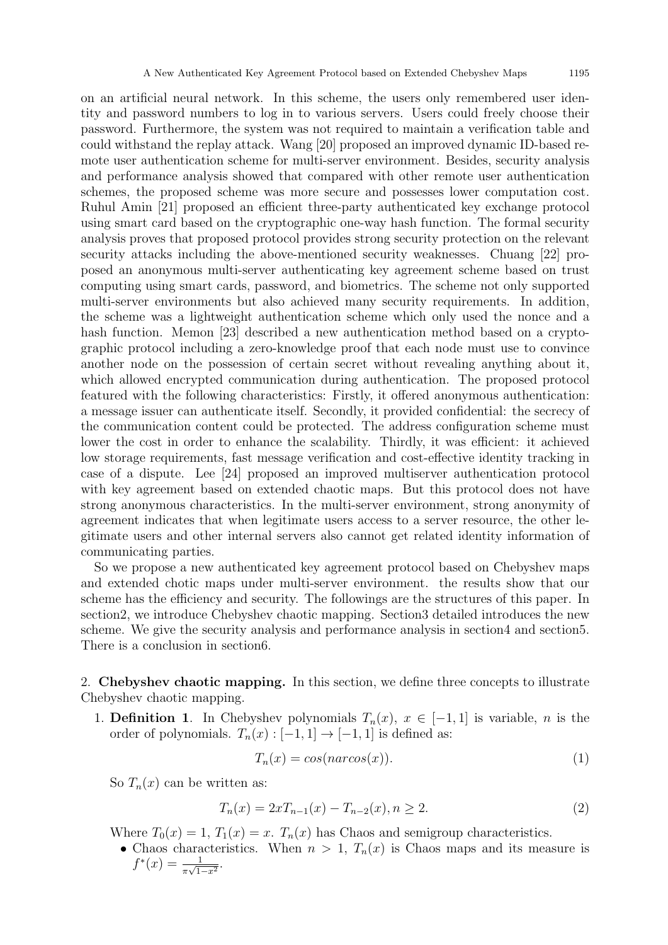on an artificial neural network. In this scheme, the users only remembered user identity and password numbers to log in to various servers. Users could freely choose their password. Furthermore, the system was not required to maintain a verification table and could withstand the replay attack. Wang [20] proposed an improved dynamic ID-based remote user authentication scheme for multi-server environment. Besides, security analysis and performance analysis showed that compared with other remote user authentication schemes, the proposed scheme was more secure and possesses lower computation cost. Ruhul Amin [21] proposed an efficient three-party authenticated key exchange protocol using smart card based on the cryptographic one-way hash function. The formal security analysis proves that proposed protocol provides strong security protection on the relevant security attacks including the above-mentioned security weaknesses. Chuang [22] proposed an anonymous multi-server authenticating key agreement scheme based on trust computing using smart cards, password, and biometrics. The scheme not only supported multi-server environments but also achieved many security requirements. In addition, the scheme was a lightweight authentication scheme which only used the nonce and a hash function. Memon [23] described a new authentication method based on a cryptographic protocol including a zero-knowledge proof that each node must use to convince another node on the possession of certain secret without revealing anything about it, which allowed encrypted communication during authentication. The proposed protocol featured with the following characteristics: Firstly, it offered anonymous authentication: a message issuer can authenticate itself. Secondly, it provided confidential: the secrecy of the communication content could be protected. The address configuration scheme must lower the cost in order to enhance the scalability. Thirdly, it was efficient: it achieved low storage requirements, fast message verification and cost-effective identity tracking in case of a dispute. Lee [24] proposed an improved multiserver authentication protocol with key agreement based on extended chaotic maps. But this protocol does not have strong anonymous characteristics. In the multi-server environment, strong anonymity of agreement indicates that when legitimate users access to a server resource, the other legitimate users and other internal servers also cannot get related identity information of communicating parties.

So we propose a new authenticated key agreement protocol based on Chebyshev maps and extended chotic maps under multi-server environment. the results show that our scheme has the efficiency and security. The followings are the structures of this paper. In section2, we introduce Chebyshev chaotic mapping. Section3 detailed introduces the new scheme. We give the security analysis and performance analysis in section4 and section5. There is a conclusion in section6.

2. Chebyshev chaotic mapping. In this section, we define three concepts to illustrate Chebyshev chaotic mapping.

1. **Definition 1.** In Chebyshev polynomials  $T_n(x)$ ,  $x \in [-1,1]$  is variable, *n* is the order of polynomials.  $T_n(x): [-1,1] \rightarrow [-1,1]$  is defined as:

$$
T_n(x) = \cos(n \arccos(x)).\tag{1}
$$

So  $T_n(x)$  can be written as:

$$
T_n(x) = 2xT_{n-1}(x) - T_{n-2}(x), n \ge 2.
$$
\n(2)

Where  $T_0(x) = 1$ ,  $T_1(x) = x$ .  $T_n(x)$  has Chaos and semigroup characteristics.

• Chaos characteristics. When  $n > 1$ ,  $T_n(x)$  is Chaos maps and its measure is  $f^*(x) = \frac{1}{\pi \sqrt{1 - x^2}}.$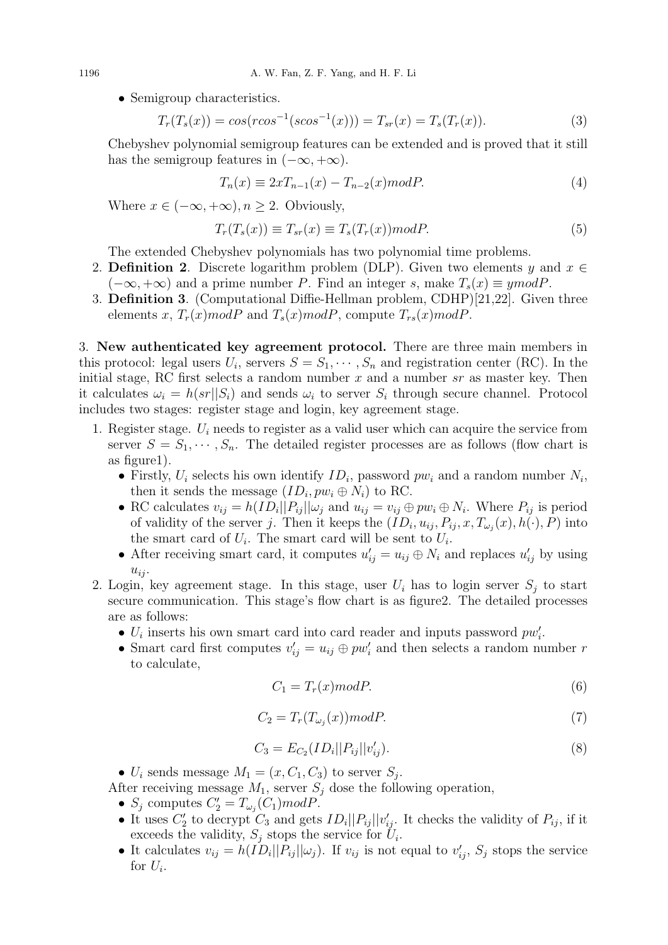• Semigroup characteristics.

$$
T_r(T_s(x)) = \cos(r\cos^{-1}(s\cos^{-1}(x))) = T_{sr}(x) = T_s(T_r(x)).
$$
\n(3)

Chebyshev polynomial semigroup features can be extended and is proved that it still has the semigroup features in  $(-\infty, +\infty)$ .

$$
T_n(x) \equiv 2xT_{n-1}(x) - T_{n-2}(x)modP.
$$
\n
$$
(4)
$$

Where  $x \in (-\infty, +\infty), n \ge 2$ . Obviously,

$$
T_r(T_s(x)) \equiv T_{sr}(x) \equiv T_s(T_r(x)) \mod P. \tag{5}
$$

The extended Chebyshev polynomials has two polynomial time problems.

- 2. **Definition 2.** Discrete logarithm problem (DLP). Given two elements y and  $x \in$  $(-\infty, +\infty)$  and a prime number P. Find an integer s, make  $T_s(x) \equiv y \mod P$ .
- 3. Definition 3. (Computational Diffie-Hellman problem, CDHP)[21,22]. Given three elements x,  $T_r(x) \mod P$  and  $T_s(x) \mod P$ , compute  $T_{rs}(x) \mod P$ .

3. New authenticated key agreement protocol. There are three main members in this protocol: legal users  $U_i$ , servers  $S = S_1, \dots, S_n$  and registration center (RC). In the initial stage, RC first selects a random number  $x$  and a number  $sr$  as master key. Then it calculates  $\omega_i = h(sr||S_i)$  and sends  $\omega_i$  to server  $S_i$  through secure channel. Protocol includes two stages: register stage and login, key agreement stage.

- 1. Register stage.  $U_i$  needs to register as a valid user which can acquire the service from server  $S = S_1, \dots, S_n$ . The detailed register processes are as follows (flow chart is as figure1).
	- Firstly,  $U_i$  selects his own identify  $ID_i$ , password  $pw_i$  and a random number  $N_i$ , then it sends the message  $(ID_i, pw_i \oplus N_i)$  to RC.
	- RC calculates  $v_{ij} = h(ID_i || P_{ij} || \omega_j$  and  $u_{ij} = v_{ij} \oplus pw_i \oplus N_i$ . Where  $P_{ij}$  is period of validity of the server j. Then it keeps the  $(ID_i, u_{ij}, P_{ij}, x, T_{\omega_j}(x), h(\cdot), P)$  into the smart card of  $U_i$ . The smart card will be sent to  $U_i$ .
	- After receiving smart card, it computes  $u'_{ij} = u_{ij} \oplus N_i$  and replaces  $u'_{ij}$  by using  $u_{ij}$ .
- 2. Login, key agreement stage. In this stage, user  $U_i$  has to login server  $S_i$  to start secure communication. This stage's flow chart is as figure2. The detailed processes are as follows:
	- $U_i$  inserts his own smart card into card reader and inputs password  $pw'_i$ .
	- Smart card first computes  $v'_{ij} = u_{ij} \oplus pw'_{i}$  and then selects a random number r to calculate,

$$
C_1 = T_r(x) \text{mod} P. \tag{6}
$$

$$
C_2 = T_r(T_{\omega_j}(x)) \text{mod} P. \tag{7}
$$

$$
C_3 = E_{C_2}(ID_i||P_{ij}||v'_{ij}).
$$
\n(8)

•  $U_i$  sends message  $M_1 = (x, C_1, C_3)$  to server  $S_j$ .

After receiving message  $M_1$ , server  $S_j$  dose the following operation,

- $S_j$  computes  $C'_2 = T_{\omega_j}(C_1) mod P$ .
- It uses  $C'_2$  to decrypt  $C_3$  and gets  $ID_i||P_{ij}||v'_{ij}$ . It checks the validity of  $P_{ij}$ , if it exceeds the validity,  $S_j$  stops the service for  $U_i$ .
- It calculates  $v_{ij} = h(\overline{ID}_i||P_{ij}||\omega_j)$ . If  $v_{ij}$  is not equal to  $v'_{ij}$ ,  $S_j$  stops the service for  $U_i$ .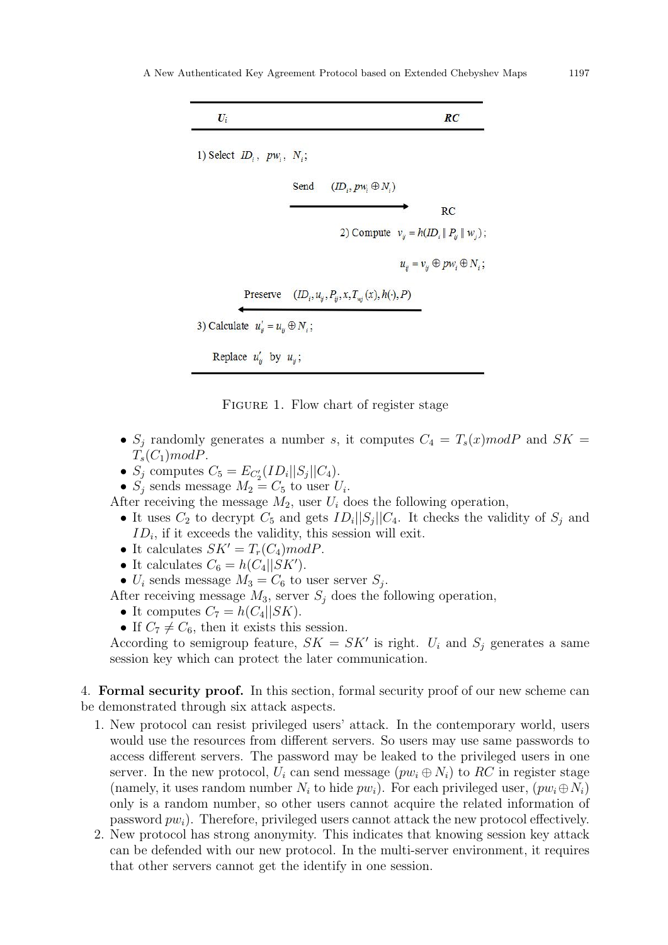



- $S_i$  randomly generates a number s, it computes  $C_4 = T_s(x) \mod P$  and  $SK =$  $T_s(C_1) \text{mod} P$ .
- $S_j$  computes  $C_5 = E_{C_2'}(ID_i||S_j||C_4)$ .
- $S_j$  sends message  $M_2 = C_5$  to user  $U_i$ .

After receiving the message  $M_2$ , user  $U_i$  does the following operation,

- It uses  $C_2$  to decrypt  $C_5$  and gets  $ID_i||S_j||C_4$ . It checks the validity of  $S_j$  and  $ID_i$ , if it exceeds the validity, this session will exit.
- It calculates  $SK' = T<sub>r</sub>(C<sub>4</sub>)modP$ .
- It calculates  $C_6 = h(C_4||SK')$ .
- $U_i$  sends message  $M_3 = C_6$  to user server  $S_j$ .

After receiving message  $M_3$ , server  $S_i$  does the following operation,

- It computes  $C_7 = h(C_4||SK)$ .
- If  $C_7 \neq C_6$ , then it exists this session.

According to semigroup feature,  $SK = SK'$  is right.  $U_i$  and  $S_j$  generates a same session key which can protect the later communication.

4. Formal security proof. In this section, formal security proof of our new scheme can be demonstrated through six attack aspects.

- 1. New protocol can resist privileged users' attack. In the contemporary world, users would use the resources from different servers. So users may use same passwords to access different servers. The password may be leaked to the privileged users in one server. In the new protocol,  $U_i$  can send message  $(pw_i \oplus N_i)$  to RC in register stage (namely, it uses random number  $N_i$  to hide  $pw_i$ ). For each privileged user,  $(pw_i \oplus N_i)$ only is a random number, so other users cannot acquire the related information of password  $pw_i$ ). Therefore, privileged users cannot attack the new protocol effectively.
- 2. New protocol has strong anonymity. This indicates that knowing session key attack can be defended with our new protocol. In the multi-server environment, it requires that other servers cannot get the identify in one session.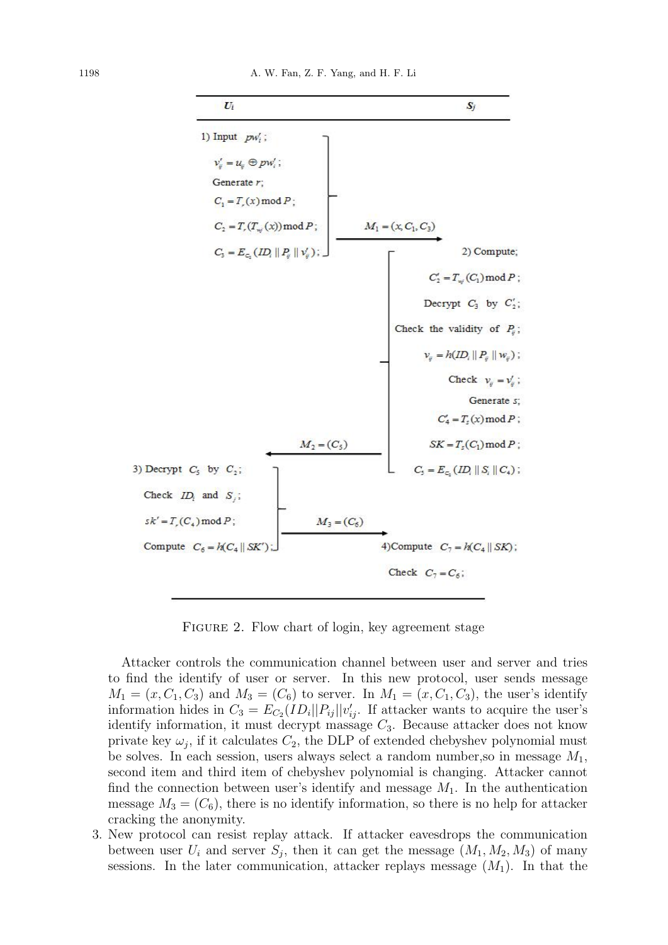

FIGURE 2. Flow chart of login, key agreement stage

Attacker controls the communication channel between user and server and tries to find the identify of user or server. In this new protocol, user sends message  $M_1 = (x, C_1, C_3)$  and  $M_3 = (C_6)$  to server. In  $M_1 = (x, C_1, C_3)$ , the user's identify information hides in  $C_3 = E_{C_2}(ID_i||P_{ij}||v'_{ij})$ . If attacker wants to acquire the user's identify information, it must decrypt massage  $C_3$ . Because attacker does not know private key  $\omega_j$ , if it calculates  $C_2$ , the DLP of extended chebyshev polynomial must be solves. In each session, users always select a random number, so in message  $M_1$ , second item and third item of chebyshev polynomial is changing. Attacker cannot find the connection between user's identify and message  $M_1$ . In the authentication message  $M_3 = (C_6)$ , there is no identify information, so there is no help for attacker cracking the anonymity.

3. New protocol can resist replay attack. If attacker eavesdrops the communication between user  $U_i$  and server  $S_j$ , then it can get the message  $(M_1, M_2, M_3)$  of many sessions. In the later communication, attacker replays message  $(M_1)$ . In that the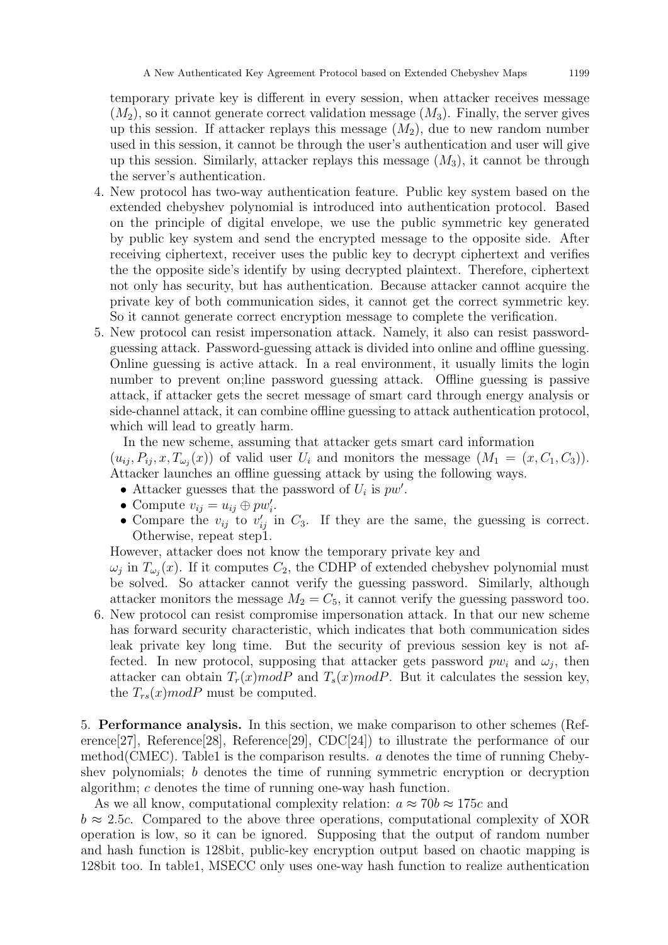temporary private key is different in every session, when attacker receives message  $(M_2)$ , so it cannot generate correct validation message  $(M_3)$ . Finally, the server gives up this session. If attacker replays this message  $(M_2)$ , due to new random number used in this session, it cannot be through the user's authentication and user will give up this session. Similarly, attacker replays this message  $(M_3)$ , it cannot be through the server's authentication.

- 4. New protocol has two-way authentication feature. Public key system based on the extended chebyshev polynomial is introduced into authentication protocol. Based on the principle of digital envelope, we use the public symmetric key generated by public key system and send the encrypted message to the opposite side. After receiving ciphertext, receiver uses the public key to decrypt ciphertext and verifies the the opposite side's identify by using decrypted plaintext. Therefore, ciphertext not only has security, but has authentication. Because attacker cannot acquire the private key of both communication sides, it cannot get the correct symmetric key. So it cannot generate correct encryption message to complete the verification.
- 5. New protocol can resist impersonation attack. Namely, it also can resist passwordguessing attack. Password-guessing attack is divided into online and offline guessing. Online guessing is active attack. In a real environment, it usually limits the login number to prevent on;line password guessing attack. Offline guessing is passive attack, if attacker gets the secret message of smart card through energy analysis or side-channel attack, it can combine offline guessing to attack authentication protocol, which will lead to greatly harm.

In the new scheme, assuming that attacker gets smart card information  $(u_{ij}, P_{ij}, x, T_{\omega_j}(x))$  of valid user  $U_i$  and monitors the message  $(M_1 = (x, C_1, C_3)).$ Attacker launches an offline guessing attack by using the following ways.

- Attacker guesses that the password of  $U_i$  is  $pw'$ .
- Compute  $v_{ij} = u_{ij} \oplus pw'_i$ .
- Compare the  $v_{ij}$  to  $v'_{ij}$  in  $C_3$ . If they are the same, the guessing is correct. Otherwise, repeat step1.

However, attacker does not know the temporary private key and

 $\omega_j$  in  $T_{\omega_j}(x)$ . If it computes  $C_2$ , the CDHP of extended chebyshev polynomial must be solved. So attacker cannot verify the guessing password. Similarly, although attacker monitors the message  $M_2 = C_5$ , it cannot verify the guessing password too.

6. New protocol can resist compromise impersonation attack. In that our new scheme has forward security characteristic, which indicates that both communication sides leak private key long time. But the security of previous session key is not affected. In new protocol, supposing that attacker gets password  $pw_i$  and  $\omega_j$ , then attacker can obtain  $T_r(x) \text{mod} P$  and  $T_s(x) \text{mod} P$ . But it calculates the session key, the  $T_{rs}(x)$  modP must be computed.

5. Performance analysis. In this section, we make comparison to other schemes (Reference[27], Reference[28], Reference[29], CDC[24]) to illustrate the performance of our method(CMEC). Table1 is the comparison results. a denotes the time of running Chebyshev polynomials; b denotes the time of running symmetric encryption or decryption algorithm; c denotes the time of running one-way hash function.

As we all know, computational complexity relation:  $a \approx 70b \approx 175c$  and

 $b \approx 2.5c$ . Compared to the above three operations, computational complexity of XOR operation is low, so it can be ignored. Supposing that the output of random number and hash function is 128bit, public-key encryption output based on chaotic mapping is 128bit too. In table1, MSECC only uses one-way hash function to realize authentication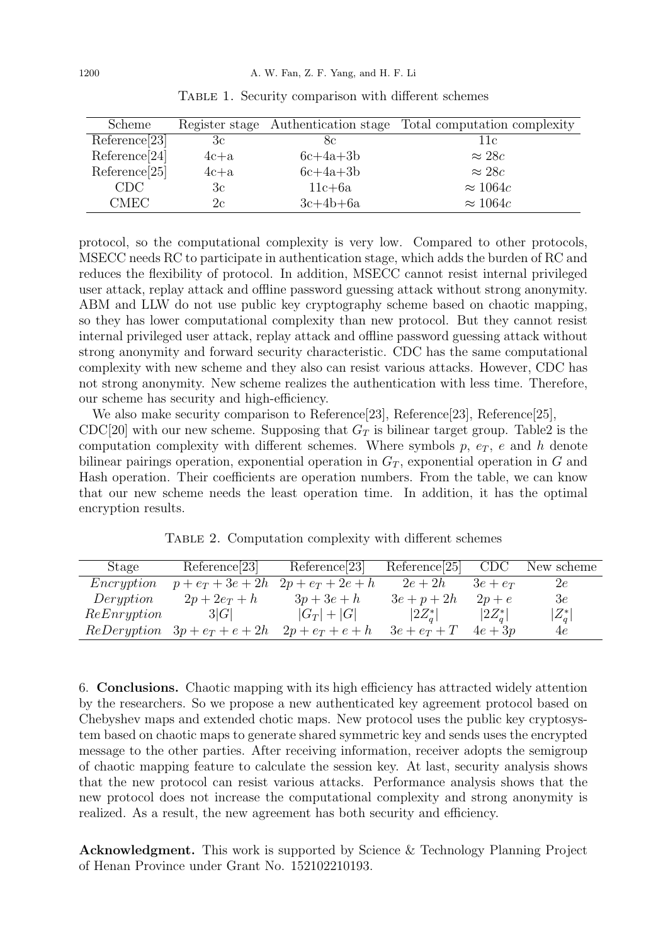| Scheme           |        |            | Register stage Authentication stage Total computation complexity |
|------------------|--------|------------|------------------------------------------------------------------|
| Reference[23]    | 3c     | 8c         | 11c                                                              |
| Reference[24]    | $4c+a$ | $6c+4a+3b$ | $\approx 28c$                                                    |
| Reference[25]    | $4c+a$ | $6c+4a+3b$ | $\approx 28c$                                                    |
| CDC <sup>1</sup> | 3c     | $11c + 6a$ | $\approx 1064c$                                                  |
| <b>CMEC</b>      | 2c     | $3c+4b+6a$ | $\approx 1064c$                                                  |

TABLE 1. Security comparison with different schemes

protocol, so the computational complexity is very low. Compared to other protocols, MSECC needs RC to participate in authentication stage, which adds the burden of RC and reduces the flexibility of protocol. In addition, MSECC cannot resist internal privileged user attack, replay attack and offline password guessing attack without strong anonymity. ABM and LLW do not use public key cryptography scheme based on chaotic mapping, so they has lower computational complexity than new protocol. But they cannot resist internal privileged user attack, replay attack and offline password guessing attack without strong anonymity and forward security characteristic. CDC has the same computational complexity with new scheme and they also can resist various attacks. However, CDC has not strong anonymity. New scheme realizes the authentication with less time. Therefore, our scheme has security and high-efficiency.

We also make security comparison to Reference[23], Reference[23], Reference[25], CDC[20] with our new scheme. Supposing that  $G_T$  is bilinear target group. Table2 is the computation complexity with different schemes. Where symbols  $p, e_T, e$  and h denote bilinear pairings operation, exponential operation in  $G_T$ , exponential operation in G and Hash operation. Their coefficients are operation numbers. From the table, we can know that our new scheme needs the least operation time. In addition, it has the optimal encryption results.

TABLE 2. Computation complexity with different schemes

| Stage       | Reference[23]       | Reference[23]       | Reference <sub>[25]</sub> | <b>CDC</b> | New scheme    |
|-------------|---------------------|---------------------|---------------------------|------------|---------------|
| Encryption  | $p + e_T + 3e + 2h$ | $2p + e_T + 2e + h$ | $2e+2h$                   | $3e+e_T$   | 2e            |
| Deryption   | $2p+2e_T+h$         | $3p+3e+h$           | $3e+p+2h$                 | $2p+e$     | $3\mathrm{e}$ |
| ReEnryption | 3 G                 | $ G_T  +  G $       | $ 2Z_a^* $                | $ 2Z_a^* $ | $ Z_q^* $     |
| ReDeryption | $3p + e_T + e + 2h$ | $2p+e_T+e+h$        | $3e+e_T+T$                | $4e+3p$    | 4e            |

6. Conclusions. Chaotic mapping with its high efficiency has attracted widely attention by the researchers. So we propose a new authenticated key agreement protocol based on Chebyshev maps and extended chotic maps. New protocol uses the public key cryptosystem based on chaotic maps to generate shared symmetric key and sends uses the encrypted message to the other parties. After receiving information, receiver adopts the semigroup of chaotic mapping feature to calculate the session key. At last, security analysis shows that the new protocol can resist various attacks. Performance analysis shows that the new protocol does not increase the computational complexity and strong anonymity is realized. As a result, the new agreement has both security and efficiency.

Acknowledgment. This work is supported by Science & Technology Planning Project of Henan Province under Grant No. 152102210193.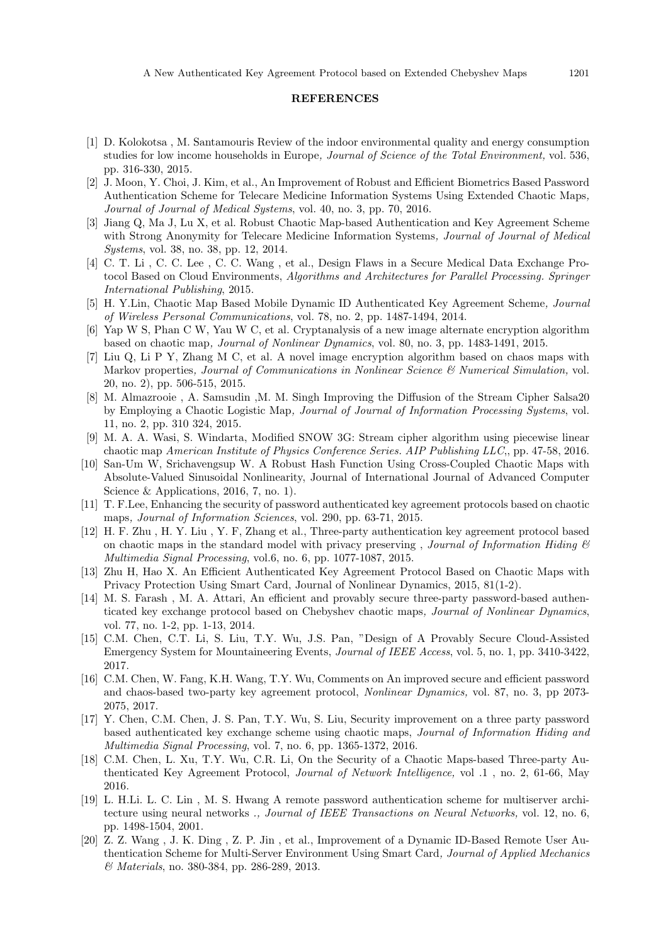## **REFERENCES**

- [1] D. Kolokotsa , M. Santamouris Review of the indoor environmental quality and energy consumption studies for low income households in Europe, Journal of Science of the Total Environment, vol. 536, pp. 316-330, 2015.
- [2] J. Moon, Y. Choi, J. Kim, et al., An Improvement of Robust and Efficient Biometrics Based Password Authentication Scheme for Telecare Medicine Information Systems Using Extended Chaotic Maps, Journal of Journal of Medical Systems, vol. 40, no. 3, pp. 70, 2016.
- [3] Jiang Q, Ma J, Lu X, et al. Robust Chaotic Map-based Authentication and Key Agreement Scheme with Strong Anonymity for Telecare Medicine Information Systems, Journal of Journal of Medical Systems, vol. 38, no. 38, pp. 12, 2014.
- [4] C. T. Li , C. C. Lee , C. C. Wang , et al., Design Flaws in a Secure Medical Data Exchange Protocol Based on Cloud Environments, Algorithms and Architectures for Parallel Processing. Springer International Publishing, 2015.
- [5] H. Y.Lin, Chaotic Map Based Mobile Dynamic ID Authenticated Key Agreement Scheme, Journal of Wireless Personal Communications, vol. 78, no. 2, pp. 1487-1494, 2014.
- [6] Yap W S, Phan C W, Yau W C, et al. Cryptanalysis of a new image alternate encryption algorithm based on chaotic map, Journal of Nonlinear Dynamics, vol. 80, no. 3, pp. 1483-1491, 2015.
- [7] Liu Q, Li P Y, Zhang M C, et al. A novel image encryption algorithm based on chaos maps with Markov properties, Journal of Communications in Nonlinear Science & Numerical Simulation, vol. 20, no. 2), pp. 506-515, 2015.
- [8] M. Almazrooie , A. Samsudin ,M. M. Singh Improving the Diffusion of the Stream Cipher Salsa20 by Employing a Chaotic Logistic Map, Journal of Journal of Information Processing Systems, vol. 11, no. 2, pp. 310 324, 2015.
- [9] M. A. A. Wasi, S. Windarta, Modified SNOW 3G: Stream cipher algorithm using piecewise linear chaotic map American Institute of Physics Conference Series. AIP Publishing LLC,, pp. 47-58, 2016.
- [10] San-Um W, Srichavengsup W. A Robust Hash Function Using Cross-Coupled Chaotic Maps with Absolute-Valued Sinusoidal Nonlinearity, Journal of International Journal of Advanced Computer Science & Applications, 2016, 7, no. 1).
- [11] T. F.Lee, Enhancing the security of password authenticated key agreement protocols based on chaotic maps, Journal of Information Sciences, vol. 290, pp. 63-71, 2015.
- [12] H. F. Zhu , H. Y. Liu , Y. F, Zhang et al., Three-party authentication key agreement protocol based on chaotic maps in the standard model with privacy preserving , Journal of Information Hiding  $\mathcal{C}$ Multimedia Signal Processing, vol.6, no. 6, pp. 1077-1087, 2015.
- [13] Zhu H, Hao X. An Efficient Authenticated Key Agreement Protocol Based on Chaotic Maps with Privacy Protection Using Smart Card, Journal of Nonlinear Dynamics, 2015, 81(1-2).
- [14] M. S. Farash , M. A. Attari, An efficient and provably secure three-party password-based authenticated key exchange protocol based on Chebyshev chaotic maps, Journal of Nonlinear Dynamics, vol. 77, no. 1-2, pp. 1-13, 2014.
- [15] C.M. Chen, C.T. Li, S. Liu, T.Y. Wu, J.S. Pan, "Design of A Provably Secure Cloud-Assisted Emergency System for Mountaineering Events, Journal of IEEE Access, vol. 5, no. 1, pp. 3410-3422, 2017.
- [16] C.M. Chen, W. Fang, K.H. Wang, T.Y. Wu, Comments on An improved secure and efficient password and chaos-based two-party key agreement protocol, Nonlinear Dynamics, vol. 87, no. 3, pp 2073- 2075, 2017.
- [17] Y. Chen, C.M. Chen, J. S. Pan, T.Y. Wu, S. Liu, Security improvement on a three party password based authenticated key exchange scheme using chaotic maps, Journal of Information Hiding and Multimedia Signal Processing, vol. 7, no. 6, pp. 1365-1372, 2016.
- [18] C.M. Chen, L. Xu, T.Y. Wu, C.R. Li, On the Security of a Chaotic Maps-based Three-party Authenticated Key Agreement Protocol, Journal of Network Intelligence, vol .1 , no. 2, 61-66, May 2016.
- [19] L. H.Li. L. C. Lin , M. S. Hwang A remote password authentication scheme for multiserver architecture using neural networks ., Journal of IEEE Transactions on Neural Networks, vol. 12, no. 6, pp. 1498-1504, 2001.
- [20] Z. Z. Wang , J. K. Ding , Z. P. Jin , et al., Improvement of a Dynamic ID-Based Remote User Authentication Scheme for Multi-Server Environment Using Smart Card, Journal of Applied Mechanics & Materials, no. 380-384, pp. 286-289, 2013.